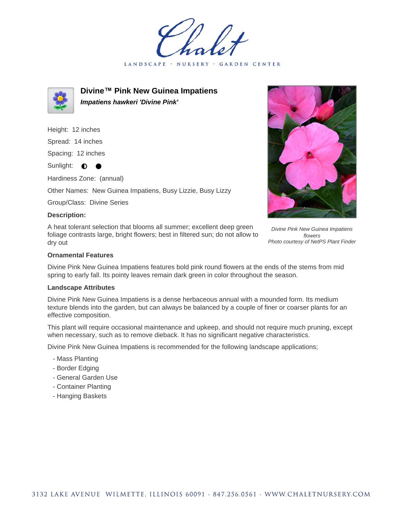LANDSCAPE · **GARDEN CENTER** 



**Divine™ Pink New Guinea Impatiens Impatiens hawkeri 'Divine Pink'**

Height: 12 inches

Spread: 14 inches

Spacing: 12 inches

Sunlight: **0** 

Hardiness Zone: (annual)

Other Names: New Guinea Impatiens, Busy Lizzie, Busy Lizzy

Group/Class: Divine Series

## **Description:**

A heat tolerant selection that blooms all summer; excellent deep green foliage contrasts large, bright flowers; best in filtered sun; do not allow to dry out



Divine Pink New Guinea Impatiens flowers Photo courtesy of NetPS Plant Finder

## **Ornamental Features**

Divine Pink New Guinea Impatiens features bold pink round flowers at the ends of the stems from mid spring to early fall. Its pointy leaves remain dark green in color throughout the season.

## **Landscape Attributes**

Divine Pink New Guinea Impatiens is a dense herbaceous annual with a mounded form. Its medium texture blends into the garden, but can always be balanced by a couple of finer or coarser plants for an effective composition.

This plant will require occasional maintenance and upkeep, and should not require much pruning, except when necessary, such as to remove dieback. It has no significant negative characteristics.

Divine Pink New Guinea Impatiens is recommended for the following landscape applications;

- Mass Planting
- Border Edging
- General Garden Use
- Container Planting
- Hanging Baskets